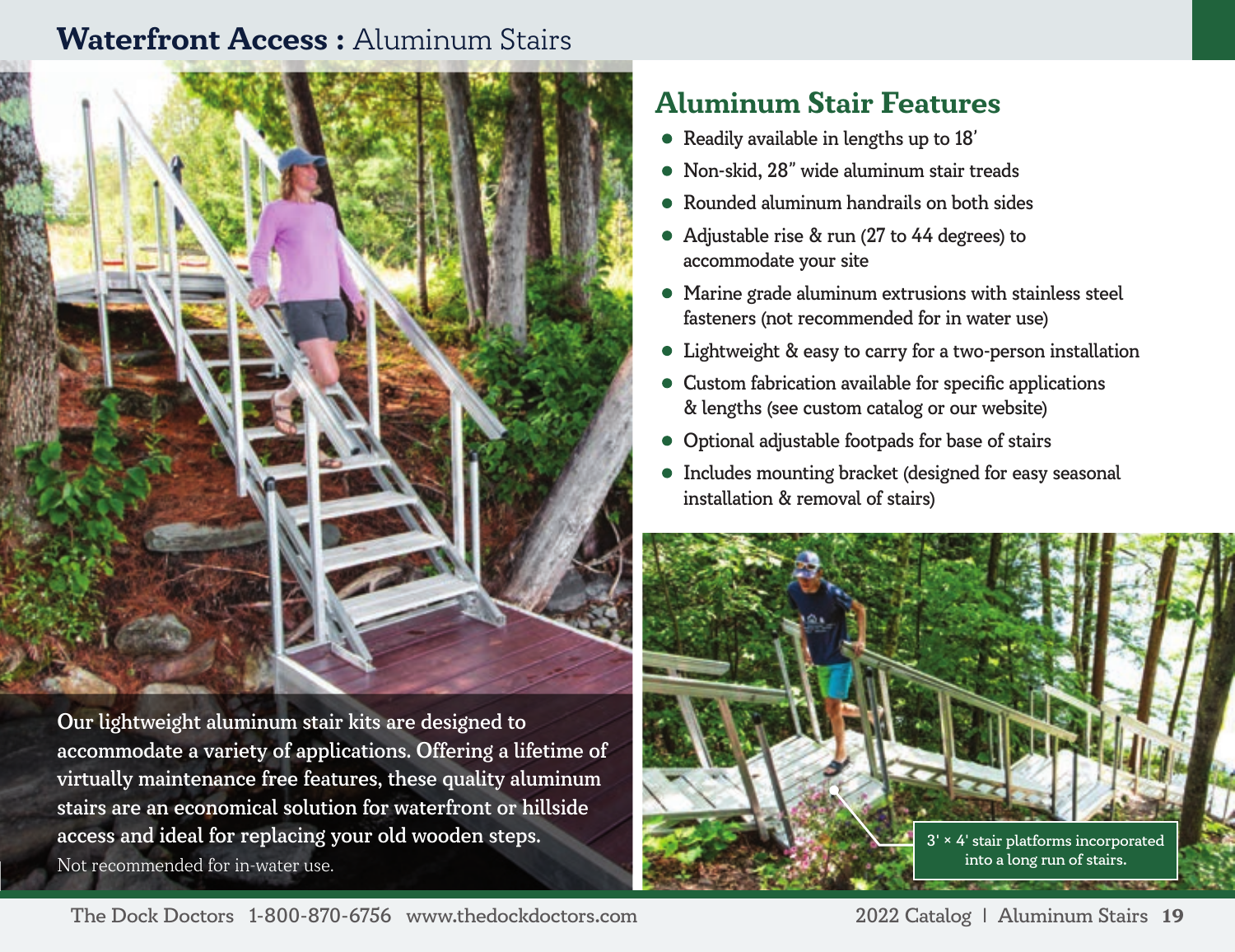# **Waterfront Access :** Aluminum Stairs



Our lightweight aluminum stair kits are designed to accommodate a variety of applications. Offering a lifetime of virtually maintenance free features, these quality aluminum stairs are an economical solution for waterfront or hillside access and ideal for replacing your old wooden steps. Not recommended for in-water use.

# **Aluminum Stair Features**

- Readily available in lengths up to 18'
- Non-skid, 28" wide aluminum stair treads
- Rounded aluminum handrails on both sides
- Adjustable rise & run (27 to 44 degrees) to accommodate your site
- Marine grade aluminum extrusions with stainless steel fasteners (not recommended for in water use)
- Lightweight & easy to carry for a two-person installation
- Custom fabrication available for specific applications & lengths (see custom catalog or our website)
- Optional adjustable footpads for base of stairs
- Includes mounting bracket (designed for easy seasonal installation & removal of stairs)



The Dock Doctors 1-800-870-6756 www.thedockdoctors.com 2022 Catalog | Aluminum Stairs **19**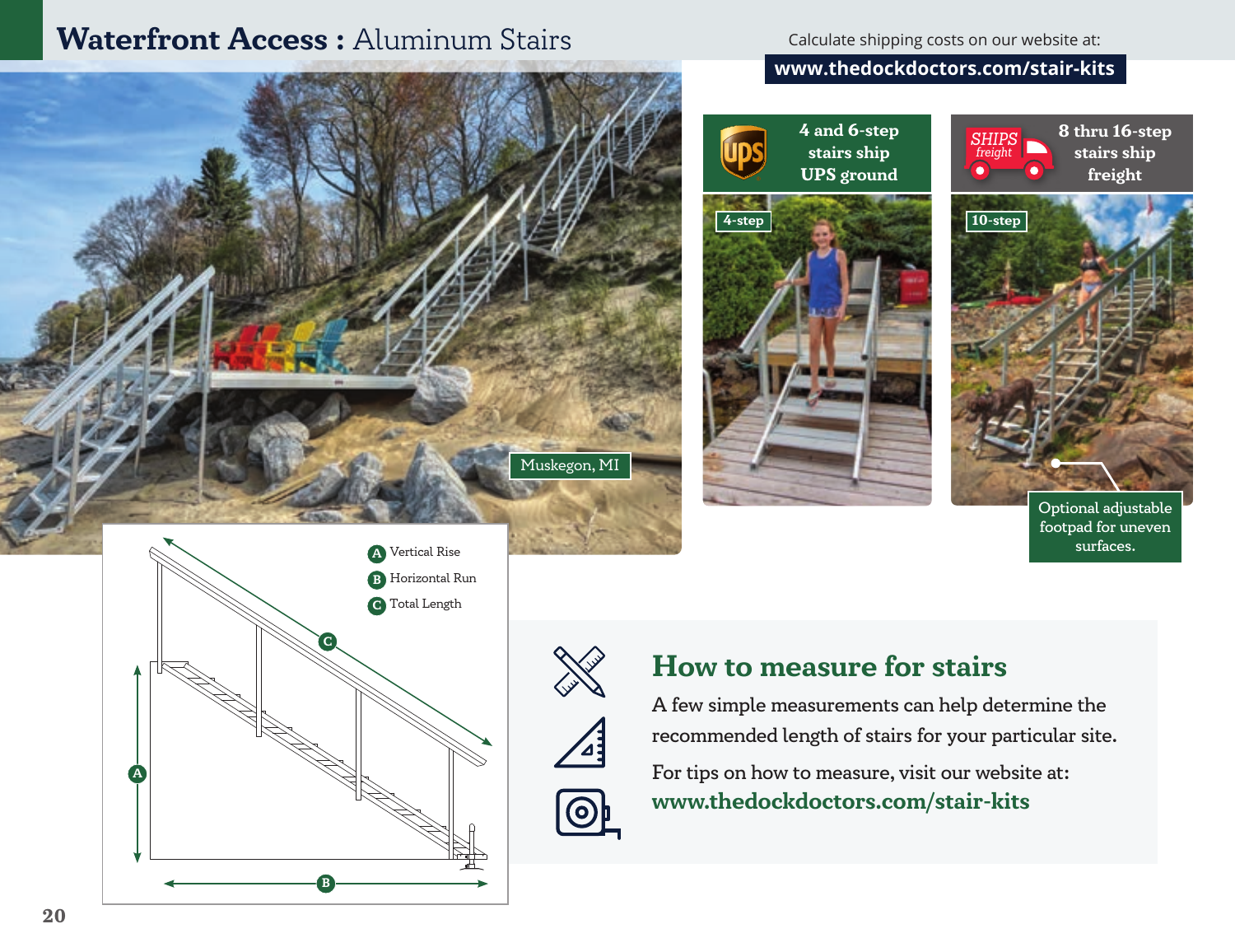## **Waterfront Access : Aluminum Stairs**

Calculate shipping costs on our website at:

### **www.thedockdoctors.com/stair-kits**







Optional adjustable footpad for uneven surfaces.







## **How to measure for stairs**

A few simple measurements can help determine the recommended length of stairs for your particular site.

For tips on how to measure, visit our website at: **www.thedockdoctors.com/stair-kits**